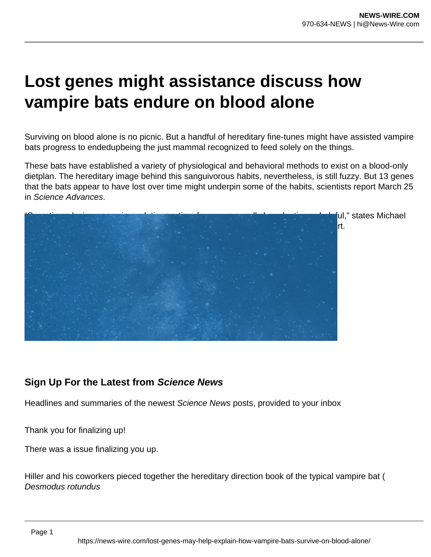## **Lost genes might assistance discuss how vampire bats endure on blood alone**

Surviving on blood alone is no picnic. But a handful of hereditary fine-tunes might have assisted vampire bats progress to endedupbeing the just mammal recognized to feed solely on the things.

These bats have established a variety of physiological and behavioral methods to exist on a blood-only dietplan. The hereditary image behind this sanguivorous habits, nevertheless, is still fuzzy. But 13 genes that the bats appear to have lost over time might underpin some of the habits, scientists report March 25 in Science Advances.



**Sign Up For the Latest from Science News**

Headlines and summaries of the newest Science News posts, provided to your inbox

Thank you for finalizing up!

There was a issue finalizing you up.

Hiller and his coworkers pieced together the hereditary direction book of the typical vampire bat ( Desmodus rotundus

Page 1